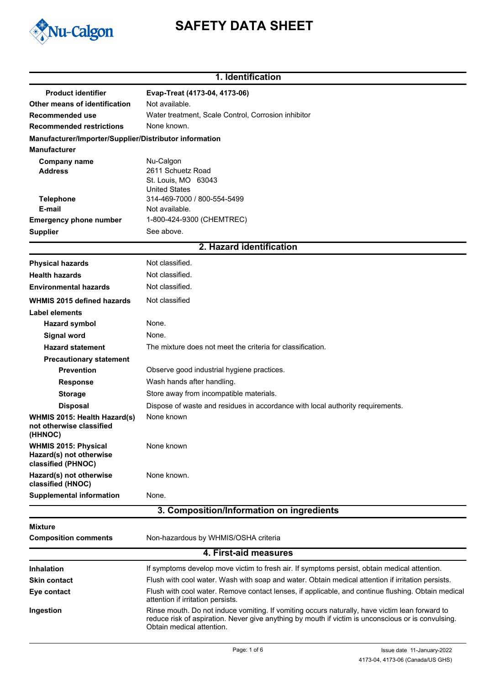

# **SAFETY DATA SHEET**

### **1. Identification**

| <b>Product identifier</b>                                           | Evap-Treat (4173-04, 4173-06)                                                                                                                                                                                                     |
|---------------------------------------------------------------------|-----------------------------------------------------------------------------------------------------------------------------------------------------------------------------------------------------------------------------------|
| Other means of identification                                       | Not available.                                                                                                                                                                                                                    |
| Recommended use                                                     | Water treatment, Scale Control, Corrosion inhibitor                                                                                                                                                                               |
| <b>Recommended restrictions</b>                                     | None known.                                                                                                                                                                                                                       |
| Manufacturer/Importer/Supplier/Distributor information              |                                                                                                                                                                                                                                   |
| <b>Manufacturer</b>                                                 |                                                                                                                                                                                                                                   |
| <b>Company name</b><br><b>Address</b>                               | Nu-Calgon<br>2611 Schuetz Road                                                                                                                                                                                                    |
|                                                                     | St. Louis, MO 63043                                                                                                                                                                                                               |
|                                                                     | <b>United States</b><br>314-469-7000 / 800-554-5499                                                                                                                                                                               |
| <b>Telephone</b><br>E-mail                                          | Not available.                                                                                                                                                                                                                    |
| <b>Emergency phone number</b>                                       | 1-800-424-9300 (CHEMTREC)                                                                                                                                                                                                         |
| <b>Supplier</b>                                                     | See above.                                                                                                                                                                                                                        |
|                                                                     | 2. Hazard identification                                                                                                                                                                                                          |
| <b>Physical hazards</b>                                             | Not classified.                                                                                                                                                                                                                   |
| <b>Health hazards</b>                                               | Not classified.                                                                                                                                                                                                                   |
| <b>Environmental hazards</b>                                        | Not classified.                                                                                                                                                                                                                   |
|                                                                     |                                                                                                                                                                                                                                   |
| <b>WHMIS 2015 defined hazards</b>                                   | Not classified                                                                                                                                                                                                                    |
| <b>Label elements</b>                                               | None.                                                                                                                                                                                                                             |
| <b>Hazard symbol</b>                                                |                                                                                                                                                                                                                                   |
| Signal word                                                         | None.                                                                                                                                                                                                                             |
| <b>Hazard statement</b>                                             | The mixture does not meet the criteria for classification.                                                                                                                                                                        |
| <b>Precautionary statement</b><br><b>Prevention</b>                 |                                                                                                                                                                                                                                   |
|                                                                     | Observe good industrial hygiene practices.                                                                                                                                                                                        |
| <b>Response</b>                                                     | Wash hands after handling.                                                                                                                                                                                                        |
| <b>Storage</b>                                                      | Store away from incompatible materials.                                                                                                                                                                                           |
| <b>Disposal</b>                                                     | Dispose of waste and residues in accordance with local authority requirements.                                                                                                                                                    |
| WHMIS 2015: Health Hazard(s)<br>not otherwise classified<br>(HHNOC) | None known                                                                                                                                                                                                                        |
| <b>WHMIS 2015: Physical</b><br>Hazard(s) not otherwise              | None known                                                                                                                                                                                                                        |
| classified (PHNOC)                                                  |                                                                                                                                                                                                                                   |
| Hazard(s) not otherwise<br>classified (HNOC)                        | None known.                                                                                                                                                                                                                       |
| <b>Supplemental information</b>                                     | None.                                                                                                                                                                                                                             |
|                                                                     | 3. Composition/Information on ingredients                                                                                                                                                                                         |
| Mixture                                                             |                                                                                                                                                                                                                                   |
| <b>Composition comments</b>                                         | Non-hazardous by WHMIS/OSHA criteria                                                                                                                                                                                              |
|                                                                     | 4. First-aid measures                                                                                                                                                                                                             |
| <b>Inhalation</b>                                                   | If symptoms develop move victim to fresh air. If symptoms persist, obtain medical attention.                                                                                                                                      |
| <b>Skin contact</b>                                                 | Flush with cool water. Wash with soap and water. Obtain medical attention if irritation persists.                                                                                                                                 |
| Eye contact                                                         | Flush with cool water. Remove contact lenses, if applicable, and continue flushing. Obtain medical<br>attention if irritation persists.                                                                                           |
| Ingestion                                                           | Rinse mouth. Do not induce vomiting. If vomiting occurs naturally, have victim lean forward to<br>reduce risk of aspiration. Never give anything by mouth if victim is unconscious or is convulsing.<br>Obtain medical attention. |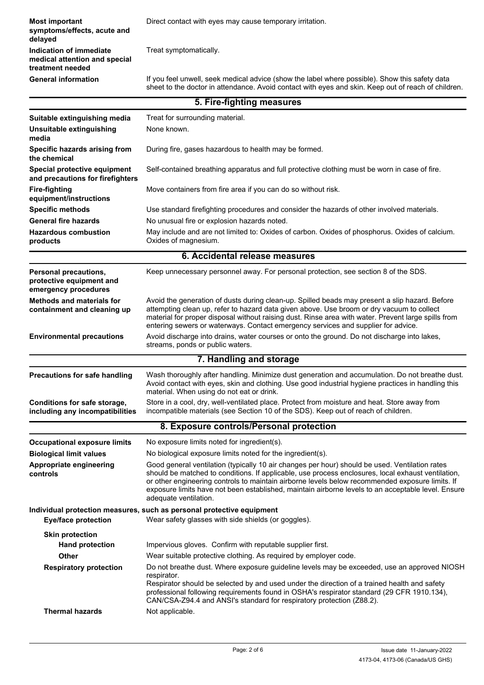**Indication of immediate** Treat symptomatically. **medical attention and special treatment needed** If you feel unwell, seek medical advice (show the label where possible). Show this safety data sheet to the doctor in attendance. Avoid contact with eyes and skin. Keep out of reach of children. **General information Most important Direct contact with eyes may cause temporary irritation. symptoms/effects, acute and delayed**

|                                                                                  | 5. Fire-fighting measures                                                                                                                                                                                                                                                                                                                                                                                                              |
|----------------------------------------------------------------------------------|----------------------------------------------------------------------------------------------------------------------------------------------------------------------------------------------------------------------------------------------------------------------------------------------------------------------------------------------------------------------------------------------------------------------------------------|
| Suitable extinguishing media                                                     | Treat for surrounding material.                                                                                                                                                                                                                                                                                                                                                                                                        |
| Unsuitable extinguishing<br>media                                                | None known.                                                                                                                                                                                                                                                                                                                                                                                                                            |
| Specific hazards arising from<br>the chemical                                    | During fire, gases hazardous to health may be formed.                                                                                                                                                                                                                                                                                                                                                                                  |
| Special protective equipment<br>and precautions for firefighters                 | Self-contained breathing apparatus and full protective clothing must be worn in case of fire.                                                                                                                                                                                                                                                                                                                                          |
| <b>Fire-fighting</b><br>equipment/instructions                                   | Move containers from fire area if you can do so without risk.                                                                                                                                                                                                                                                                                                                                                                          |
| <b>Specific methods</b>                                                          | Use standard firefighting procedures and consider the hazards of other involved materials.                                                                                                                                                                                                                                                                                                                                             |
| <b>General fire hazards</b>                                                      | No unusual fire or explosion hazards noted.                                                                                                                                                                                                                                                                                                                                                                                            |
| <b>Hazardous combustion</b><br>products                                          | May include and are not limited to: Oxides of carbon. Oxides of phosphorus. Oxides of calcium.<br>Oxides of magnesium.                                                                                                                                                                                                                                                                                                                 |
|                                                                                  | 6. Accidental release measures                                                                                                                                                                                                                                                                                                                                                                                                         |
| <b>Personal precautions,</b><br>protective equipment and<br>emergency procedures | Keep unnecessary personnel away. For personal protection, see section 8 of the SDS.                                                                                                                                                                                                                                                                                                                                                    |
| <b>Methods and materials for</b><br>containment and cleaning up                  | Avoid the generation of dusts during clean-up. Spilled beads may present a slip hazard. Before<br>attempting clean up, refer to hazard data given above. Use broom or dry vacuum to collect<br>material for proper disposal without raising dust. Rinse area with water. Prevent large spills from<br>entering sewers or waterways. Contact emergency services and supplier for advice.                                                |
| <b>Environmental precautions</b>                                                 | Avoid discharge into drains, water courses or onto the ground. Do not discharge into lakes,<br>streams, ponds or public waters.                                                                                                                                                                                                                                                                                                        |
|                                                                                  | 7. Handling and storage                                                                                                                                                                                                                                                                                                                                                                                                                |
| <b>Precautions for safe handling</b>                                             | Wash thoroughly after handling. Minimize dust generation and accumulation. Do not breathe dust.<br>Avoid contact with eyes, skin and clothing. Use good industrial hygiene practices in handling this<br>material. When using do not eat or drink.                                                                                                                                                                                     |
| Conditions for safe storage,<br>including any incompatibilities                  | Store in a cool, dry, well-ventilated place. Protect from moisture and heat. Store away from<br>incompatible materials (see Section 10 of the SDS). Keep out of reach of children.                                                                                                                                                                                                                                                     |
|                                                                                  | 8. Exposure controls/Personal protection                                                                                                                                                                                                                                                                                                                                                                                               |
| <b>Occupational exposure limits</b>                                              | No exposure limits noted for ingredient(s).                                                                                                                                                                                                                                                                                                                                                                                            |
| <b>Biological limit values</b>                                                   | No biological exposure limits noted for the ingredient(s).                                                                                                                                                                                                                                                                                                                                                                             |
| Appropriate engineering<br>controls                                              | Good general ventilation (typically 10 air changes per hour) should be used. Ventilation rates<br>should be matched to conditions. If applicable, use process enclosures, local exhaust ventilation,<br>or other engineering controls to maintain airborne levels below recommended exposure limits. If<br>exposure limits have not been established, maintain airborne levels to an acceptable level. Ensure<br>adequate ventilation. |
|                                                                                  | Individual protection measures, such as personal protective equipment                                                                                                                                                                                                                                                                                                                                                                  |
| <b>Eye/face protection</b>                                                       | Wear safety glasses with side shields (or goggles).                                                                                                                                                                                                                                                                                                                                                                                    |
| <b>Skin protection</b>                                                           |                                                                                                                                                                                                                                                                                                                                                                                                                                        |
| <b>Hand protection</b>                                                           | Impervious gloves. Confirm with reputable supplier first.                                                                                                                                                                                                                                                                                                                                                                              |
| <b>Other</b>                                                                     | Wear suitable protective clothing. As required by employer code.                                                                                                                                                                                                                                                                                                                                                                       |
| <b>Respiratory protection</b>                                                    | Do not breathe dust. Where exposure guideline levels may be exceeded, use an approved NIOSH<br>respirator.<br>Respirator should be selected by and used under the direction of a trained health and safety<br>professional following requirements found in OSHA's respirator standard (29 CFR 1910.134),<br>CAN/CSA-Z94.4 and ANSI's standard for respiratory protection (Z88.2).                                                      |
| <b>Thermal hazards</b>                                                           | Not applicable.                                                                                                                                                                                                                                                                                                                                                                                                                        |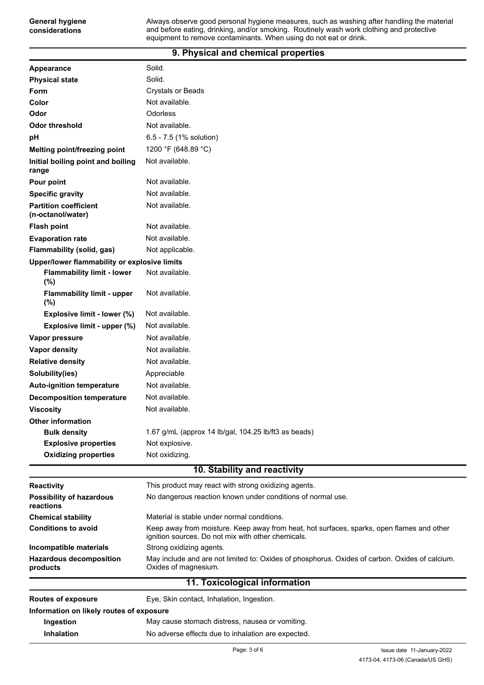#### **9. Physical and chemical properties**

**General hygiene considerations**

| Appearance                                        | Solid.                                                                                                                                          |
|---------------------------------------------------|-------------------------------------------------------------------------------------------------------------------------------------------------|
| <b>Physical state</b>                             | Solid.                                                                                                                                          |
| <b>Form</b>                                       | <b>Crystals or Beads</b>                                                                                                                        |
| Color                                             | Not available.                                                                                                                                  |
| Odor                                              | Odorless                                                                                                                                        |
| <b>Odor threshold</b>                             | Not available.                                                                                                                                  |
| рH                                                | 6.5 - 7.5 (1% solution)                                                                                                                         |
| <b>Melting point/freezing point</b>               | 1200 °F (648.89 °C)                                                                                                                             |
| Initial boiling point and boiling<br>range        | Not available.                                                                                                                                  |
| Pour point                                        | Not available.                                                                                                                                  |
| <b>Specific gravity</b>                           | Not available.                                                                                                                                  |
| <b>Partition coefficient</b><br>(n-octanol/water) | Not available.                                                                                                                                  |
| <b>Flash point</b>                                | Not available.                                                                                                                                  |
| <b>Evaporation rate</b>                           | Not available.                                                                                                                                  |
| Flammability (solid, gas)                         | Not applicable.                                                                                                                                 |
| Upper/lower flammability or explosive limits      |                                                                                                                                                 |
| <b>Flammability limit - lower</b><br>(%)          | Not available.                                                                                                                                  |
| <b>Flammability limit - upper</b><br>(%)          | Not available.                                                                                                                                  |
| Explosive limit - lower (%)                       | Not available.                                                                                                                                  |
| Explosive limit - upper (%)                       | Not available.                                                                                                                                  |
| Vapor pressure                                    | Not available.                                                                                                                                  |
| <b>Vapor density</b>                              | Not available.                                                                                                                                  |
| <b>Relative density</b>                           | Not available.                                                                                                                                  |
| Solubility(ies)                                   | Appreciable                                                                                                                                     |
| <b>Auto-ignition temperature</b>                  | Not available.                                                                                                                                  |
| <b>Decomposition temperature</b>                  | Not available.                                                                                                                                  |
| <b>Viscosity</b>                                  | Not available.                                                                                                                                  |
| <b>Other information</b>                          |                                                                                                                                                 |
| <b>Bulk density</b>                               | 1.67 g/mL (approx 14 lb/gal, 104.25 lb/ft3 as beads)                                                                                            |
| <b>Explosive properties</b>                       | Not explosive.                                                                                                                                  |
| <b>Oxidizing properties</b>                       | Not oxidizing.                                                                                                                                  |
|                                                   | 10. Stability and reactivity                                                                                                                    |
| <b>Reactivity</b>                                 | This product may react with strong oxidizing agents.                                                                                            |
| <b>Possibility of hazardous</b><br>reactions      | No dangerous reaction known under conditions of normal use.                                                                                     |
| <b>Chemical stability</b>                         | Material is stable under normal conditions.                                                                                                     |
| <b>Conditions to avoid</b>                        | Keep away from moisture. Keep away from heat, hot surfaces, sparks, open flames and other<br>ignition sources. Do not mix with other chemicals. |
| Incompatible materials                            | Strong oxidizing agents.                                                                                                                        |
| <b>Hazardous decomposition</b><br>products        | May include and are not limited to: Oxides of phosphorus. Oxides of carbon. Oxides of calcium.<br>Oxides of magnesium.                          |
|                                                   | 11. Toxicological information                                                                                                                   |
| <b>Routes of exposure</b>                         | Eye, Skin contact, Inhalation, Ingestion.                                                                                                       |
| Information on likely routes of exposure          |                                                                                                                                                 |
| Ingestion                                         | May cause stomach distress, nausea or vomiting.                                                                                                 |
| Inhalation                                        | No adverse effects due to inhalation are expected.                                                                                              |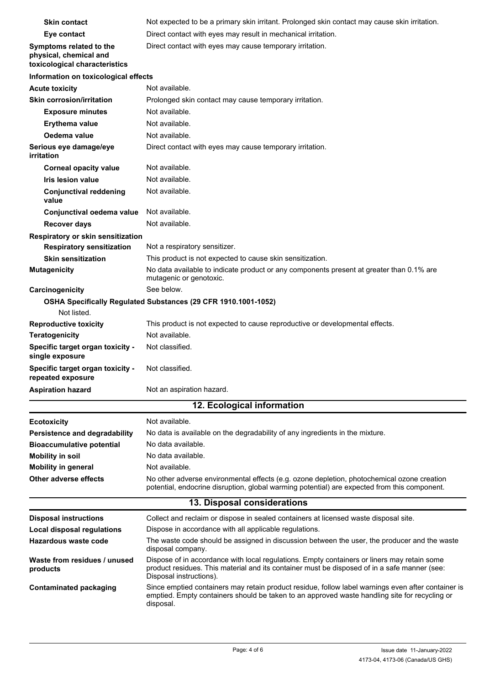| <b>Skin contact</b>                                                                | Not expected to be a primary skin irritant. Prolonged skin contact may cause skin irritation.                                                                                                                          |
|------------------------------------------------------------------------------------|------------------------------------------------------------------------------------------------------------------------------------------------------------------------------------------------------------------------|
| Eye contact                                                                        | Direct contact with eyes may result in mechanical irritation.                                                                                                                                                          |
| Symptoms related to the<br>physical, chemical and<br>toxicological characteristics | Direct contact with eyes may cause temporary irritation.                                                                                                                                                               |
| Information on toxicological effects                                               |                                                                                                                                                                                                                        |
| <b>Acute toxicity</b>                                                              | Not available.                                                                                                                                                                                                         |
| <b>Skin corrosion/irritation</b>                                                   | Prolonged skin contact may cause temporary irritation.                                                                                                                                                                 |
| <b>Exposure minutes</b>                                                            | Not available.                                                                                                                                                                                                         |
| <b>Erythema value</b>                                                              | Not available.                                                                                                                                                                                                         |
| Oedema value                                                                       | Not available.                                                                                                                                                                                                         |
| Serious eye damage/eye<br>irritation                                               | Direct contact with eyes may cause temporary irritation.                                                                                                                                                               |
| <b>Corneal opacity value</b>                                                       | Not available.                                                                                                                                                                                                         |
| <b>Iris lesion value</b>                                                           | Not available.                                                                                                                                                                                                         |
| <b>Conjunctival reddening</b><br>value                                             | Not available.                                                                                                                                                                                                         |
| Conjunctival oedema value                                                          | Not available.                                                                                                                                                                                                         |
| <b>Recover days</b>                                                                | Not available.                                                                                                                                                                                                         |
| Respiratory or skin sensitization                                                  |                                                                                                                                                                                                                        |
| <b>Respiratory sensitization</b>                                                   | Not a respiratory sensitizer.                                                                                                                                                                                          |
| <b>Skin sensitization</b>                                                          | This product is not expected to cause skin sensitization.                                                                                                                                                              |
| <b>Mutagenicity</b>                                                                | No data available to indicate product or any components present at greater than 0.1% are<br>mutagenic or genotoxic.<br>See below.                                                                                      |
| Carcinogenicity                                                                    |                                                                                                                                                                                                                        |
| Not listed.                                                                        | OSHA Specifically Regulated Substances (29 CFR 1910.1001-1052)                                                                                                                                                         |
| <b>Reproductive toxicity</b>                                                       | This product is not expected to cause reproductive or developmental effects.                                                                                                                                           |
| <b>Teratogenicity</b>                                                              | Not available.                                                                                                                                                                                                         |
| Specific target organ toxicity -<br>single exposure                                | Not classified.                                                                                                                                                                                                        |
| Specific target organ toxicity -<br>repeated exposure                              | Not classified.                                                                                                                                                                                                        |
| <b>Aspiration hazard</b>                                                           | Not an aspiration hazard.                                                                                                                                                                                              |
|                                                                                    | 12. Ecological information                                                                                                                                                                                             |
| <b>Ecotoxicity</b>                                                                 | Not available.                                                                                                                                                                                                         |
| Persistence and degradability                                                      | No data is available on the degradability of any ingredients in the mixture.                                                                                                                                           |
| <b>Bioaccumulative potential</b>                                                   | No data available.                                                                                                                                                                                                     |
| <b>Mobility in soil</b>                                                            | No data available.                                                                                                                                                                                                     |
| <b>Mobility in general</b>                                                         | Not available.                                                                                                                                                                                                         |
| <b>Other adverse effects</b>                                                       | No other adverse environmental effects (e.g. ozone depletion, photochemical ozone creation<br>potential, endocrine disruption, global warming potential) are expected from this component.                             |
|                                                                                    | 13. Disposal considerations                                                                                                                                                                                            |
| <b>Disposal instructions</b>                                                       | Collect and reclaim or dispose in sealed containers at licensed waste disposal site.                                                                                                                                   |
| <b>Local disposal regulations</b>                                                  | Dispose in accordance with all applicable regulations.                                                                                                                                                                 |
| Hazardous waste code                                                               | The waste code should be assigned in discussion between the user, the producer and the waste<br>disposal company.                                                                                                      |
| Waste from residues / unused<br>products                                           | Dispose of in accordance with local regulations. Empty containers or liners may retain some<br>product residues. This material and its container must be disposed of in a safe manner (see:<br>Disposal instructions). |
| <b>Contaminated packaging</b>                                                      | Since emptied containers may retain product residue, follow label warnings even after container is<br>emptied. Empty containers should be taken to an approved waste handling site for recycling or<br>disposal.       |
|                                                                                    |                                                                                                                                                                                                                        |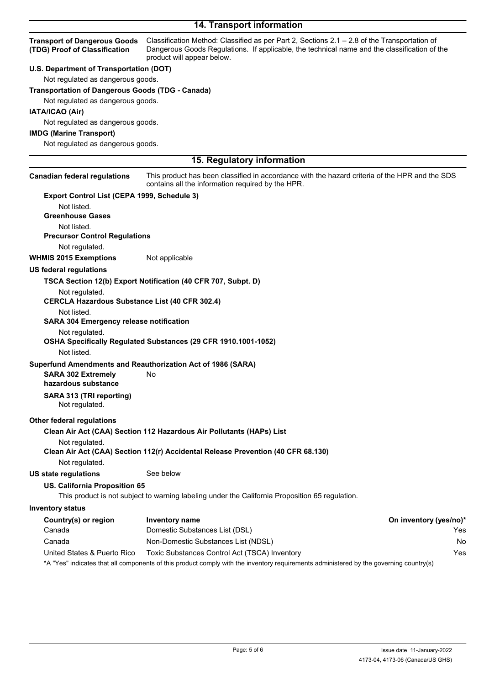## **14. Transport information**

| <b>Transport of Dangerous Goods</b><br>(TDG) Proof of Classification | Classification Method: Classified as per Part 2, Sections 2.1 - 2.8 of the Transportation of<br>Dangerous Goods Regulations. If applicable, the technical name and the classification of the<br>product will appear below. |                        |
|----------------------------------------------------------------------|----------------------------------------------------------------------------------------------------------------------------------------------------------------------------------------------------------------------------|------------------------|
| U.S. Department of Transportation (DOT)                              |                                                                                                                                                                                                                            |                        |
| Not regulated as dangerous goods.                                    |                                                                                                                                                                                                                            |                        |
| <b>Transportation of Dangerous Goods (TDG - Canada)</b>              |                                                                                                                                                                                                                            |                        |
| Not regulated as dangerous goods.                                    |                                                                                                                                                                                                                            |                        |
| IATA/ICAO (Air)                                                      |                                                                                                                                                                                                                            |                        |
| Not regulated as dangerous goods.                                    |                                                                                                                                                                                                                            |                        |
| <b>IMDG (Marine Transport)</b>                                       |                                                                                                                                                                                                                            |                        |
| Not regulated as dangerous goods.                                    |                                                                                                                                                                                                                            |                        |
|                                                                      |                                                                                                                                                                                                                            |                        |
|                                                                      | 15. Regulatory information                                                                                                                                                                                                 |                        |
| <b>Canadian federal regulations</b>                                  | This product has been classified in accordance with the hazard criteria of the HPR and the SDS<br>contains all the information required by the HPR.                                                                        |                        |
| Export Control List (CEPA 1999, Schedule 3)                          |                                                                                                                                                                                                                            |                        |
| Not listed.                                                          |                                                                                                                                                                                                                            |                        |
| <b>Greenhouse Gases</b>                                              |                                                                                                                                                                                                                            |                        |
| Not listed.                                                          |                                                                                                                                                                                                                            |                        |
| <b>Precursor Control Regulations</b>                                 |                                                                                                                                                                                                                            |                        |
| Not regulated.                                                       |                                                                                                                                                                                                                            |                        |
| <b>WHMIS 2015 Exemptions</b>                                         | Not applicable                                                                                                                                                                                                             |                        |
| <b>US federal regulations</b>                                        |                                                                                                                                                                                                                            |                        |
|                                                                      | TSCA Section 12(b) Export Notification (40 CFR 707, Subpt. D)                                                                                                                                                              |                        |
| Not regulated.                                                       |                                                                                                                                                                                                                            |                        |
| <b>CERCLA Hazardous Substance List (40 CFR 302.4)</b>                |                                                                                                                                                                                                                            |                        |
| Not listed.                                                          |                                                                                                                                                                                                                            |                        |
| <b>SARA 304 Emergency release notification</b>                       |                                                                                                                                                                                                                            |                        |
| Not regulated.                                                       |                                                                                                                                                                                                                            |                        |
|                                                                      | OSHA Specifically Regulated Substances (29 CFR 1910.1001-1052)                                                                                                                                                             |                        |
| Not listed.                                                          |                                                                                                                                                                                                                            |                        |
|                                                                      | Superfund Amendments and Reauthorization Act of 1986 (SARA)                                                                                                                                                                |                        |
| <b>SARA 302 Extremely</b>                                            | No                                                                                                                                                                                                                         |                        |
| hazardous substance                                                  |                                                                                                                                                                                                                            |                        |
| SARA 313 (TRI reporting)<br>Not regulated.                           |                                                                                                                                                                                                                            |                        |
| <b>Other federal regulations</b>                                     |                                                                                                                                                                                                                            |                        |
|                                                                      | Clean Air Act (CAA) Section 112 Hazardous Air Pollutants (HAPs) List                                                                                                                                                       |                        |
| Not regulated.                                                       |                                                                                                                                                                                                                            |                        |
|                                                                      | Clean Air Act (CAA) Section 112(r) Accidental Release Prevention (40 CFR 68.130)                                                                                                                                           |                        |
| Not regulated.                                                       |                                                                                                                                                                                                                            |                        |
| <b>US state regulations</b>                                          | See below                                                                                                                                                                                                                  |                        |
| US. California Proposition 65                                        | This product is not subject to warning labeling under the California Proposition 65 regulation.                                                                                                                            |                        |
| <b>Inventory status</b>                                              |                                                                                                                                                                                                                            |                        |
| Country(s) or region                                                 | <b>Inventory name</b>                                                                                                                                                                                                      | On inventory (yes/no)* |
| Canada                                                               | Domestic Substances List (DSL)                                                                                                                                                                                             | Yes                    |
| Canada                                                               | Non-Domestic Substances List (NDSL)                                                                                                                                                                                        | No                     |
| United States & Puerto Rico                                          | Toxic Substances Control Act (TSCA) Inventory                                                                                                                                                                              | Yes                    |
|                                                                      |                                                                                                                                                                                                                            |                        |

\*A "Yes" indicates that all components of this product comply with the inventory requirements administered by the governing country(s)